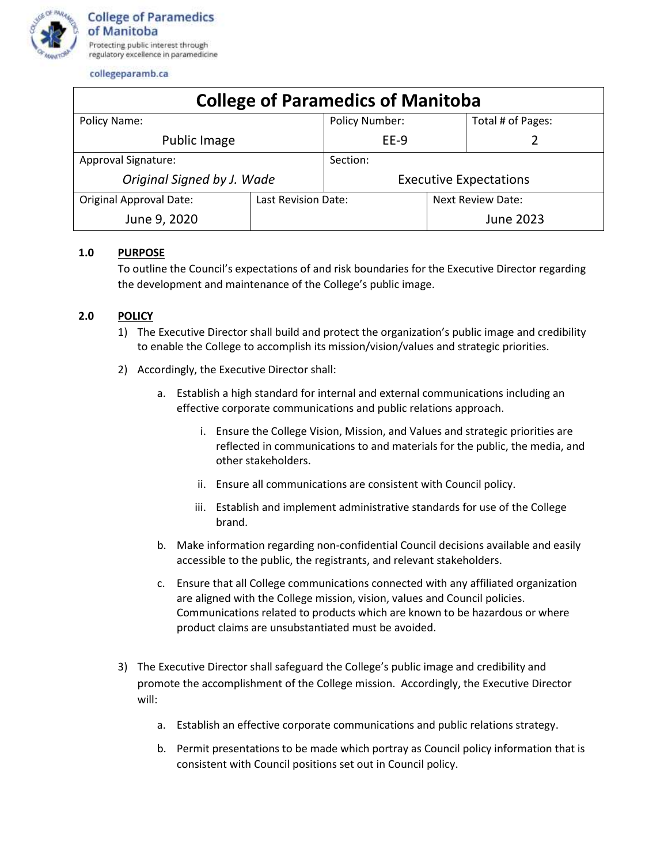

collegeparamb.ca

| <b>College of Paramedics of Manitoba</b> |                     |                               |                          |                   |
|------------------------------------------|---------------------|-------------------------------|--------------------------|-------------------|
| Policy Name:                             |                     | <b>Policy Number:</b>         |                          | Total # of Pages: |
| Public Image                             |                     | EE-9                          |                          |                   |
| Approval Signature:                      |                     | Section:                      |                          |                   |
| Original Signed by J. Wade               |                     | <b>Executive Expectations</b> |                          |                   |
| <b>Original Approval Date:</b>           | Last Revision Date: |                               | <b>Next Review Date:</b> |                   |
| June 9, 2020                             |                     |                               |                          | June 2023         |

## **1.0 PURPOSE**

To outline the Council's expectations of and risk boundaries for the Executive Director regarding the development and maintenance of the College's public image.

## **2.0 POLICY**

- 1) The Executive Director shall build and protect the organization's public image and credibility to enable the College to accomplish its mission/vision/values and strategic priorities.
- 2) Accordingly, the Executive Director shall:
	- a. Establish a high standard for internal and external communications including an effective corporate communications and public relations approach.
		- i. Ensure the College Vision, Mission, and Values and strategic priorities are reflected in communications to and materials for the public, the media, and other stakeholders.
		- ii. Ensure all communications are consistent with Council policy.
		- iii. Establish and implement administrative standards for use of the College brand.
	- b. Make information regarding non-confidential Council decisions available and easily accessible to the public, the registrants, and relevant stakeholders.
	- c. Ensure that all College communications connected with any affiliated organization are aligned with the College mission, vision, values and Council policies. Communications related to products which are known to be hazardous or where product claims are unsubstantiated must be avoided.
- 3) The Executive Director shall safeguard the College's public image and credibility and promote the accomplishment of the College mission. Accordingly, the Executive Director will:
	- a. Establish an effective corporate communications and public relations strategy.
	- b. Permit presentations to be made which portray as Council policy information that is consistent with Council positions set out in Council policy.